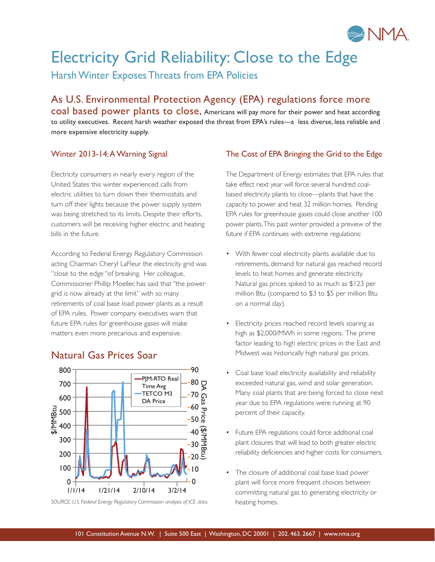

# Electricity Grid Reliability: Close to the Edge

Harsh Winter Exposes Threats from EPA Policies

As U.S. Environmental Protection Agency (EPA) regulations force more coal based power plants to close, Americans will pay more for their power and heat according to utility executives. Recent harsh weather exposed the threat from EPA's rules—a less diverse, less reliable and

#### Winter 2013-14: A Warning Signal

more expensive electricity supply.

Electricity consumers in nearly every region of the United States this winter experienced calls from electric utilities to turn down their thermostats and turn off their lights because the power supply system was being stretched to its limits. Despite their efforts, customers will be receiving higher electric and heating bills in the future.

According to Federal Energy Regulatory Commission acting Chairman Cheryl LaFleur the electricity grid was "close to the edge "of breaking. Her colleague, Commissioner Phillip Moeller, has said that "the power grid is now already at the limit" with so many retirements of coal base load power plants as a result of EPA rules. Power company executives warn that future EPA rules for greenhouse gases will make matters even more precarious and expensive.

### Natural Gas Prices Soar



SOURCE: U.S. Federal Energy Regulatory Commission analysis of ICE data. heating homes.

#### The Cost of EPA Bringing the Grid to the Edge

The Department of Energy estimates that EPA rules that take effect next year will force several hundred coalbased electricity plants to close—plants that have the capacity to power and heat 32 million homes. Pending EPA rules for greenhouse gases could close another 100 power plants. This past winter provided a preview of the future if EPA continues with extreme regulations:

- With fewer coal electricity plants available due to retirements, demand for natural gas reached record levels to heat homes and generate electricity. Natural gas prices spiked to as much as \$123 per million Btu (compared to \$3 to \$5 per million Btu on a normal day).
- Electricity prices reached record levels soaring as high as \$2,000/MWh in some regions. The prime factor leading to high electric prices in the East and Midwest was historically high natural gas prices.
- Coal base load electricity availability and reliability exceeded natural gas, wind and solar generation. Many coal plants that are being forced to close next year due to EPA regulations were running at 90 percent of their capacity.
- Future EPA regulations could force additional coal plant closures that will lead to both greater electric reliability deficiencies and higher costs for consumers.
- The closure of additional coal base load power plant will force more frequent choices between committing natural gas to generating electricity or